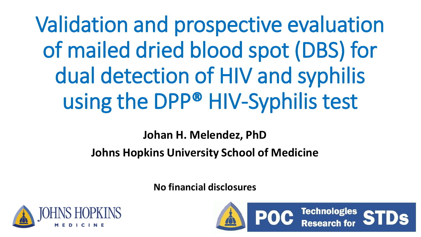Validation and prospective evaluation of mailed dried blood spot (DBS) for dual detection of HIV and syphilis using the DPP® HIV-Syphilis test

**Johan H. Melendez, PhD**

## **Johns Hopkins University School of Medicine**

**No financial disclosures**



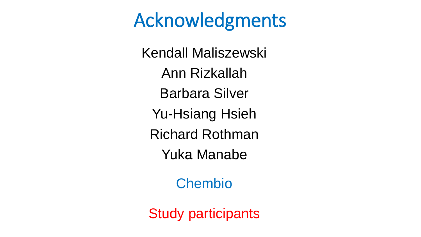# Acknowledgments

Kendall Maliszewski Ann Rizkallah Barbara Silver Yu-Hsiang Hsieh Richard Rothman Yuka Manabe

Chembio

Study participants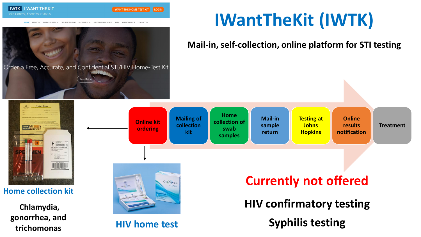

ARE YOU AT RISK? GET TESTED V MHAT ARE STIc? v **SERVICES & RESOURCES** PRIVACY POLICY

**IWTK** I WANT THE KIT

Take Control, Know Your Status

**IWTK EXAMPLE** 

# **IWantTheKit (IWTK)**

**Mail-in, self-collection, online platform for STI testing**

Order a Free, Accurate, and Confidential STI/HIV Home-Test Kit Read More **Contact Forn Home Mailing of Mail-in Testing at Online Online kit collection of collection Johns results sample Treatment ordering swab kit Hopkins notification return samples**  $F$   $\mathbb{R}$   $\mathbb{R}$   $\mathbb{R}$   $\mathbb{R}$   $\mathbb{R}$   $\mathbb{R}$   $\mathbb{R}$   $\mathbb{R}$   $\mathbb{R}$   $\mathbb{R}$   $\mathbb{R}$   $\mathbb{R}$   $\mathbb{R}$   $\mathbb{R}$   $\mathbb{R}$   $\mathbb{R}$   $\mathbb{R}$   $\mathbb{R}$   $\mathbb{R}$   $\mathbb{R}$   $\mathbb{R}$   $\mathbb{R}$   $\mathbb{R}$   $\mathbb{R}$  **Currently not offered** ORAQUICK. **Home collection kit HIV confirmatory testing Chlamydia, gonorrhea, and Syphilis testing trichomonas HIV home test**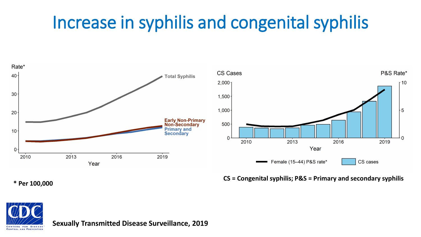# Increase in syphilis and congenital syphilis



**\* Per 100,000**

**CS = Congenital syphilis; P&S = Primary and secondary syphilis**



**Sexually Transmitted Disease Surveillance, 2019**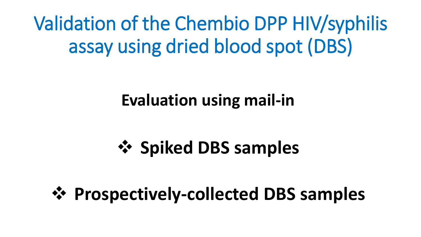Validation of the Chembio DPP HIV/syphilis assay using dried blood spot (DBS)

# **Evaluation using mail-in**

# ❖ **Spiked DBS samples**

# ❖ **Prospectively-collected DBS samples**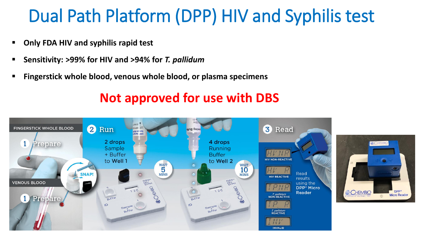# Dual Path Platform (DPP) HIV and Syphilis test

- **Only FDA HIV and syphilis rapid test**
- **Sensitivity: >99% for HIV and >94% for** *T. pallidum*
- **Fingerstick whole blood, venous whole blood, or plasma specimens**

## **Not approved for use with DBS**

CHEMBIC

DPP<sup>®</sup>

**Micro Reader** 

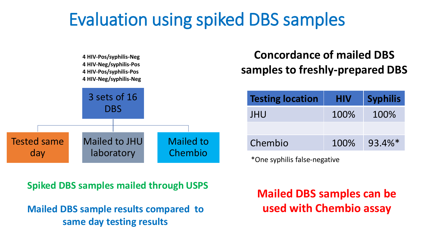# Evaluation using spiked DBS samples



**Concordance of mailed DBS samples to freshly-prepared DBS**

| <b>Testing location</b> | <b>HIV</b> | <b>Syphilis</b> |
|-------------------------|------------|-----------------|
| <b>JHU</b>              | 100%       | 100%            |
|                         |            |                 |
| Chembio                 | 100%       | $93.4\%*$       |
|                         |            |                 |

\*One syphilis false-negative

**Spiked DBS samples mailed through USPS**

**Mailed DBS sample results compared to same day testing results**

**Mailed DBS samples can be used with Chembio assay**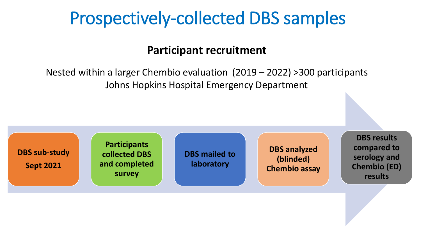# Prospectively-collected DBS samples

### **Participant recruitment**

Nested within a larger Chembio evaluation (2019 – 2022) >300 participants Johns Hopkins Hospital Emergency Department

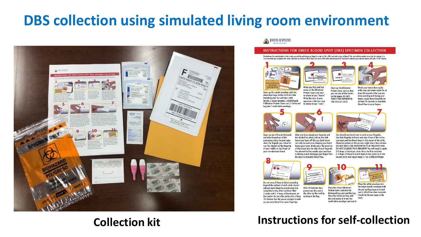## **DBS collection using simulated living room environment**



#### JOHNS HOPKINS

#### INSTRUCTIONS FOR DRIED BLOOD SPOT (DBS) SPECIMEN COLLECTION

Disclaimer: For participation in this study, you will be pricking your finger in order to fill a DBS card with drops of blood. This card will be mailed to our lab for testing. It is recommended you complete this when hydrated to enhance blood flow and avoid difficulties obtaining blood. The blood collection procedures below will take 10-30 minutes.







Open up the manila envelope with the prepaid postage sticker on it and take everything out. You will see 2 pink lancets, 2 gauze sponges, 2 alcohol pads, 1 Whatman Protein Saver card, 1 biohazard bag and 1 small white envelope.

name on the Whatman Protein Saver card next to where it says "Name" Write the date of your specimen collection next to where it says "Date".

Wash your hands thorough! Open up the Whatman with soap and warm water for at Protein Saver card so that least 30 seconds. After you are you can see all the circles done washing and drying your on the paper. DO NOT hands, shake them forcefully for TOUCH THE PAPER WITH THE CIRCLES ON IT. at least 15 seconds to stimulate blood flow to your fingers.





Open up one of the alcohol pads and take the pad out of the packaging. Using the pad, wipe clean the fingertip you intend to use. You should use the fingertip of your middle or ring finger on your non-dominant hand.

the alcohol has dried, pick up the pink lancet and twist off the cap. Each lancet can only be used once. Keeping your hand below your heart, firmly press the small tip of the lancet into the side of your fingertip. You should feel the needle eject and hear a clicking sound. Massage your finger from the base to stimulate blood flow.

You should see blood start to pool on your fingertip. Use that fingertip to hover over top of one of the circles and wait until the blood drops in the center of the circle. Please be patient as this process might take a few minutes DO NOT TOUCH THE PAPER WITH YOUR FINGERTIP AND DO NOT SQUEEZE YOUR FINGERTIP. You will need to apply 2-3 drops of blood per circle. Once the first circle has 2-3 drops of blood in it and starts to dry, move on to the second circle and repeat steps 5-7 on a different finger.





Do not worry if there is blood extending beyond the outlines of each circle. Do not After 15 minutes have add any more blood to a circle once it is passed and the card is completed or dry. After you have filled 2 circles with 2-3 drops of blood each, let dry, close up the card by the card air dry on a flat surface for at least tucking in the flap. 15 minutes. Use the gauze sponges to soak up any extra blood from your fingertips.

Place the closed Whatman Protein Saver card into the biohazard bag and seal the bag.



the larger manila envelope with the pre-paid postage on it and seal it. All of the other materials should be thrown away in the Place the biohazard bag with trash the card inside of it into the small white envelope and seal it.

### **Collection kit Instructions for self-collection**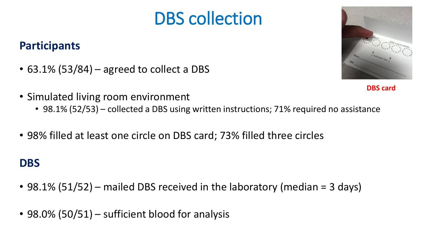# DBS collection

## **Participants**

- $\cdot$  63.1% (53/84) agreed to collect a DBS
- Simulated living room environment
	- 98.1% (52/53) collected a DBS using written instructions; 71% required no assistance
- 98% filled at least one circle on DBS card; 73% filled three circles

### **DBS**

- 98.1% (51/52) mailed DBS received in the laboratory (median = 3 days)
- 98.0% (50/51) sufficient blood for analysis

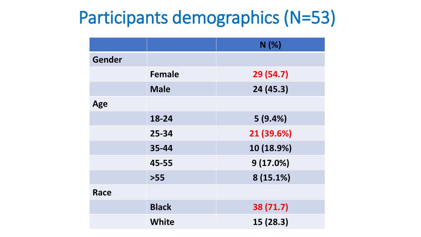# Participants demographics (N=53)

|               |               | N(%)       |
|---------------|---------------|------------|
| <b>Gender</b> |               |            |
|               | <b>Female</b> | 29 (54.7)  |
|               | <b>Male</b>   | 24 (45.3)  |
| Age           |               |            |
|               | 18-24         | 5(9.4%)    |
|               | 25-34         | 21 (39.6%) |
|               | 35-44         | 10 (18.9%) |
|               | 45-55         | 9(17.0%)   |
|               | $>55$         | 8 (15.1%)  |
| <b>Race</b>   |               |            |
|               | <b>Black</b>  | 38 (71.7)  |
|               | <b>White</b>  | 15 (28.3)  |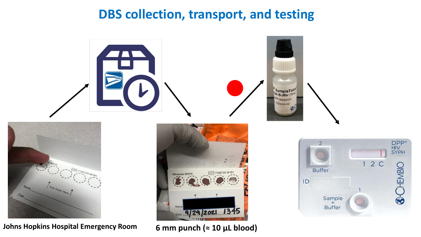## **DBS collection, transport, and testing**



**Johns Hopkins Hospital Emergency Room**

**6 mm punch (≈ 10 µL blood)**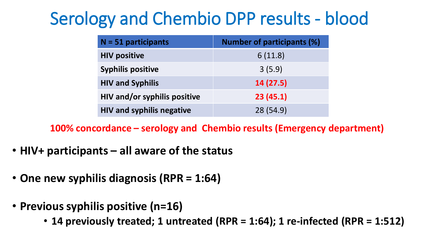# Serology and Chembio DPP results - blood

| $N = 51$ participants               | <b>Number of participants (%)</b> |
|-------------------------------------|-----------------------------------|
| <b>HIV positive</b>                 | 6(11.8)                           |
| <b>Syphilis positive</b>            | 3(5.9)                            |
| <b>HIV and Syphilis</b>             | 14(27.5)                          |
| <b>HIV and/or syphilis positive</b> | 23(45.1)                          |
| <b>HIV and syphilis negative</b>    | 28 (54.9)                         |

**100% concordance – serology and Chembio results (Emergency department)**

- **HIV+ participants – all aware of the status**
- **One new syphilis diagnosis (RPR = 1:64)**
- **Previous syphilis positive (n=16)** 
	- **14 previously treated; 1 untreated (RPR = 1:64); 1 re-infected (RPR = 1:512)**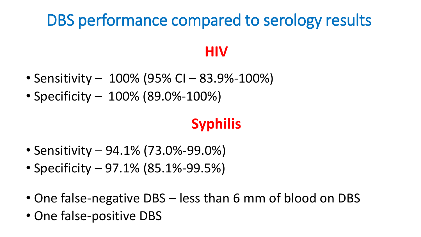# DBS performance compared to serology results

## **HIV**

- Sensitivity 100% (95% CI 83.9%-100%)
- Specificity 100% (89.0%-100%)

## **Syphilis**

- Sensitivity 94.1% (73.0%-99.0%)
- Specificity 97.1% (85.1%-99.5%)
- One false-negative DBS less than 6 mm of blood on DBS
- One false-positive DBS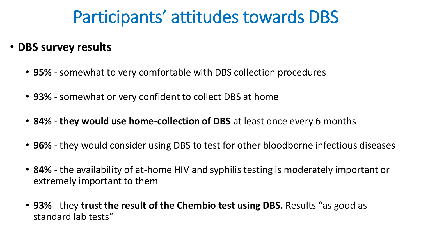# Participants' attitudes towards DBS

- **DBS survey results**
	- **95%**  somewhat to very comfortable with DBS collection procedures
	- **93%**  somewhat or very confident to collect DBS at home
	- **84% they would use home-collection of DBS** at least once every 6 months
	- **96%** they would consider using DBS to test for other bloodborne infectious diseases
	- **84%**  the availability of at-home HIV and syphilis testing is moderately important or extremely important to them
	- **93%** they **trust the result of the Chembio test using DBS.** Results "as good as standard lab tests"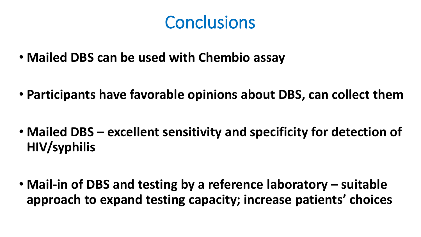# **Conclusions**

- **Mailed DBS can be used with Chembio assay**
- **Participants have favorable opinions about DBS, can collect them**
- **Mailed DBS – excellent sensitivity and specificity for detection of HIV/syphilis**
- **Mail-in of DBS and testing by a reference laboratory – suitable approach to expand testing capacity; increase patients' choices**